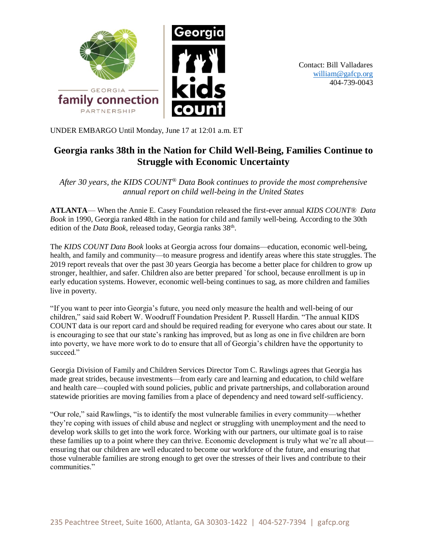

Contact: Bill Valladares [william@gafcp.org](mailto:william@gafcp.org) 404-739-0043

UNDER EMBARGO Until Monday, June 17 at 12:01 a.m. ET

# **Georgia ranks 38th in the Nation for Child Well-Being, Families Continue to Struggle with Economic Uncertainty**

*After 30 years, the KIDS COUNT® Data Book continues to provide the most comprehensive annual report on child well-being in the United States*

**ATLANTA**— When the Annie E. Casey Foundation released the first-ever annual *KIDS COUNT® Data Book* in 1990, Georgia ranked 48th in the nation for child and family well-being. According to the 30th edition of the *Data Book*, released today, Georgia ranks 38<sup>th</sup>.

The *KIDS COUNT Data Book* looks at Georgia across four domains—education, economic well-being, health, and family and community—to measure progress and identify areas where this state struggles. The 2019 report reveals that over the past 30 years Georgia has become a better place for children to grow up stronger, healthier, and safer. Children also are better prepared `for school, because enrollment is up in early education systems. However, economic well-being continues to sag, as more children and families live in poverty.

"If you want to peer into Georgia's future, you need only measure the health and well-being of our children," said said Robert W. Woodruff Foundation President P. Russell Hardin. "The annual KIDS COUNT data is our report card and should be required reading for everyone who cares about our state. It is encouraging to see that our state's ranking has improved, but as long as one in five children are born into poverty, we have more work to do to ensure that all of Georgia's children have the opportunity to succeed."

Georgia Division of Family and Children Services Director Tom C. Rawlings agrees that Georgia has made great strides, because investments—from early care and learning and education, to child welfare and health care—coupled with sound policies, public and private partnerships, and collaboration around statewide priorities are moving families from a place of dependency and need toward self-sufficiency.

"Our role," said Rawlings, "is to identify the most vulnerable families in every community—whether they're coping with issues of child abuse and neglect or struggling with unemployment and the need to develop work skills to get into the work force. Working with our partners, our ultimate goal is to raise these families up to a point where they can thrive. Economic development is truly what we're all about ensuring that our children are well educated to become our workforce of the future, and ensuring that those vulnerable families are strong enough to get over the stresses of their lives and contribute to their communities."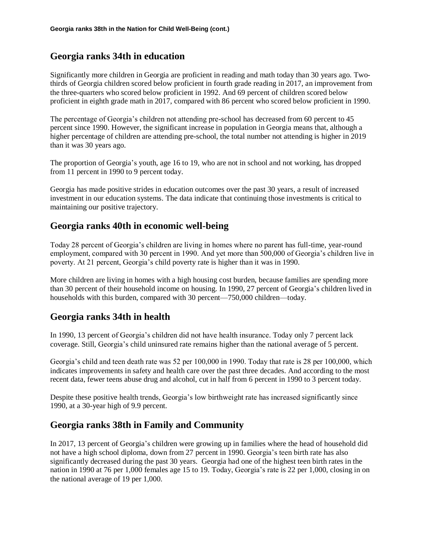## **Georgia ranks 34th in education**

Significantly more children in Georgia are proficient in reading and math today than 30 years ago. Twothirds of Georgia children scored below proficient in fourth grade reading in 2017, an improvement from the three-quarters who scored below proficient in 1992. And 69 percent of children scored below proficient in eighth grade math in 2017, compared with 86 percent who scored below proficient in 1990.

The percentage of Georgia's children not attending pre-school has decreased from 60 percent to 45 percent since 1990. However, the significant increase in population in Georgia means that, although a higher percentage of children are attending pre-school, the total number not attending is higher in 2019 than it was 30 years ago.

The proportion of Georgia's youth, age 16 to 19, who are not in school and not working, has dropped from 11 percent in 1990 to 9 percent today.

Georgia has made positive strides in education outcomes over the past 30 years, a result of increased investment in our education systems. The data indicate that continuing those investments is critical to maintaining our positive trajectory.

## **Georgia ranks 40th in economic well-being**

Today 28 percent of Georgia's children are living in homes where no parent has full-time, year-round employment, compared with 30 percent in 1990. And yet more than 500,000 of Georgia's children live in poverty. At 21 percent, Georgia's child poverty rate is higher than it was in 1990.

More children are living in homes with a high housing cost burden, because families are spending more than 30 percent of their household income on housing. In 1990, 27 percent of Georgia's children lived in households with this burden, compared with 30 percent—750,000 children—today.

## **Georgia ranks 34th in health**

In 1990, 13 percent of Georgia's children did not have health insurance. Today only 7 percent lack coverage. Still, Georgia's child uninsured rate remains higher than the national average of 5 percent.

Georgia's child and teen death rate was 52 per 100,000 in 1990. Today that rate is 28 per 100,000, which indicates improvements in safety and health care over the past three decades. And according to the most recent data, fewer teens abuse drug and alcohol, cut in half from 6 percent in 1990 to 3 percent today.

Despite these positive health trends, Georgia's low birthweight rate has increased significantly since 1990, at a 30-year high of 9.9 percent.

## **Georgia ranks 38th in Family and Community**

In 2017, 13 percent of Georgia's children were growing up in families where the head of household did not have a high school diploma, down from 27 percent in 1990. Georgia's teen birth rate has also significantly decreased during the past 30 years. Georgia had one of the highest teen birth rates in the nation in 1990 at 76 per 1,000 females age 15 to 19. Today, Georgia's rate is 22 per 1,000, closing in on the national average of 19 per 1,000.